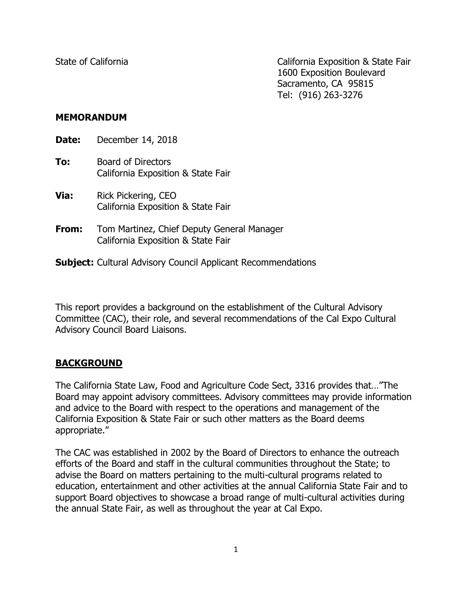State of California California California Exposition & State Fair 1600 Exposition Boulevard Sacramento, CA 95815 Tel: (916) 263-3276

## **MEMORANDUM**

**Date:** December 14, 2018 **To:** Board of Directors California Exposition & State Fair

- **Via:** Rick Pickering, CEO California Exposition & State Fair
- **From:** Tom Martinez, Chief Deputy General Manager California Exposition & State Fair

**Subject:** Cultural Advisory Council Applicant Recommendations

This report provides a background on the establishment of the Cultural Advisory Committee (CAC), their role, and several recommendations of the Cal Expo Cultural Advisory Council Board Liaisons.

# **BACKGROUND**

The California State Law, Food and Agriculture Code Sect, 3316 provides that…"The Board may appoint advisory committees. Advisory committees may provide information and advice to the Board with respect to the operations and management of the California Exposition & State Fair or such other matters as the Board deems appropriate."

The CAC was established in 2002 by the Board of Directors to enhance the outreach efforts of the Board and staff in the cultural communities throughout the State; to advise the Board on matters pertaining to the multi-cultural programs related to education, entertainment and other activities at the annual California State Fair and to support Board objectives to showcase a broad range of multi-cultural activities during the annual State Fair, as well as throughout the year at Cal Expo.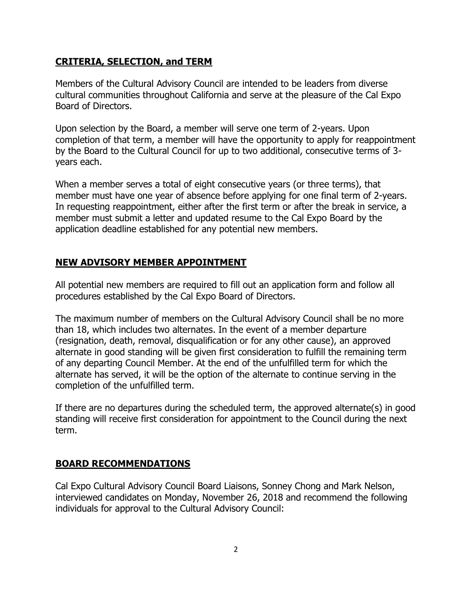## **CRITERIA, SELECTION, and TERM**

Members of the Cultural Advisory Council are intended to be leaders from diverse cultural communities throughout California and serve at the pleasure of the Cal Expo Board of Directors.

Upon selection by the Board, a member will serve one term of 2-years. Upon completion of that term, a member will have the opportunity to apply for reappointment by the Board to the Cultural Council for up to two additional, consecutive terms of 3 years each.

When a member serves a total of eight consecutive years (or three terms), that member must have one year of absence before applying for one final term of 2-years. In requesting reappointment, either after the first term or after the break in service, a member must submit a letter and updated resume to the Cal Expo Board by the application deadline established for any potential new members.

# **NEW ADVISORY MEMBER APPOINTMENT**

All potential new members are required to fill out an application form and follow all procedures established by the Cal Expo Board of Directors.

The maximum number of members on the Cultural Advisory Council shall be no more than 18, which includes two alternates. In the event of a member departure (resignation, death, removal, disqualification or for any other cause), an approved alternate in good standing will be given first consideration to fulfill the remaining term of any departing Council Member. At the end of the unfulfilled term for which the alternate has served, it will be the option of the alternate to continue serving in the completion of the unfulfilled term.

If there are no departures during the scheduled term, the approved alternate(s) in good standing will receive first consideration for appointment to the Council during the next term.

# **BOARD RECOMMENDATIONS**

Cal Expo Cultural Advisory Council Board Liaisons, Sonney Chong and Mark Nelson, interviewed candidates on Monday, November 26, 2018 and recommend the following individuals for approval to the Cultural Advisory Council: